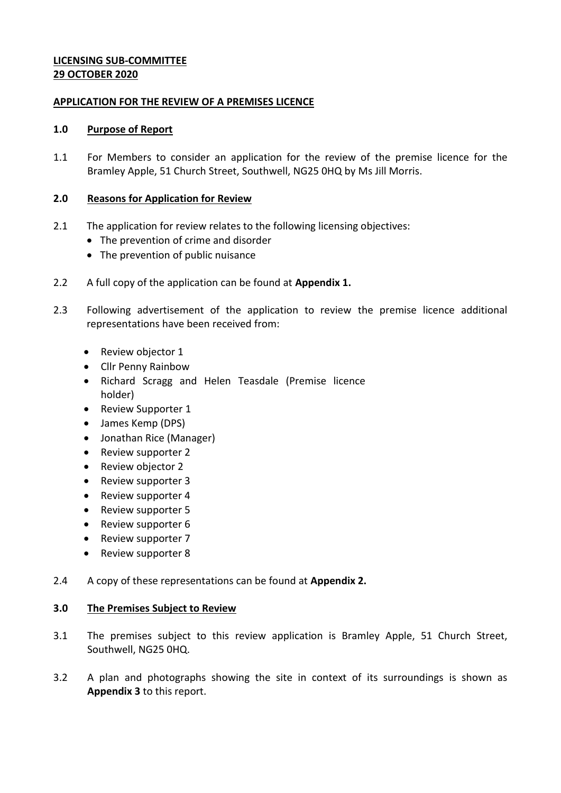## **LICENSING SUB-COMMITTEE 29 OCTOBER 2020**

### **APPLICATION FOR THE REVIEW OF A PREMISES LICENCE**

#### **1.0 Purpose of Report**

1.1 For Members to consider an application for the review of the premise licence for the Bramley Apple, 51 Church Street, Southwell, NG25 0HQ by Ms Jill Morris.

### **2.0 Reasons for Application for Review**

- 2.1 The application for review relates to the following licensing objectives:
	- The prevention of crime and disorder
	- The prevention of public nuisance
- 2.2 A full copy of the application can be found at **Appendix 1.**
- 2.3 Following advertisement of the application to review the premise licence additional representations have been received from:
	- Review objector 1
	- Cllr Penny Rainbow
	- Richard Scragg and Helen Teasdale (Premise licence holder)
	- Review Supporter 1
	- James Kemp (DPS)
	- Jonathan Rice (Manager)
	- Review supporter 2
	- Review objector 2
	- Review supporter 3
	- Review supporter 4
	- Review supporter 5
	- Review supporter 6
	- Review supporter 7
	- Review supporter 8
- 2.4 A copy of these representations can be found at **Appendix 2.**

### **3.0 The Premises Subject to Review**

- 3.1 The premises subject to this review application is Bramley Apple, 51 Church Street, Southwell, NG25 0HQ.
- 3.2 A plan and photographs showing the site in context of its surroundings is shown as **Appendix 3** to this report.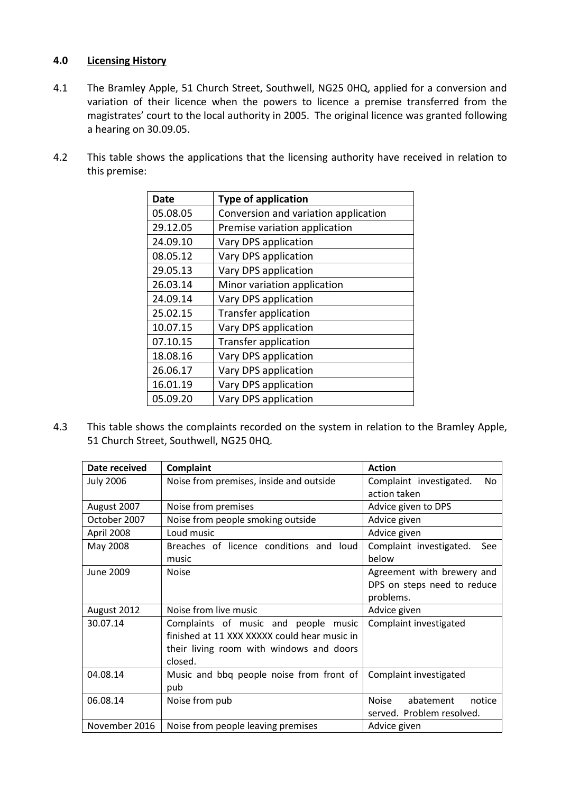## **4.0 Licensing History**

- 4.1 The Bramley Apple, 51 Church Street, Southwell, NG25 0HQ, applied for a conversion and variation of their licence when the powers to licence a premise transferred from the magistrates' court to the local authority in 2005. The original licence was granted following a hearing on 30.09.05.
- 4.2 This table shows the applications that the licensing authority have received in relation to this premise:

| Date     | <b>Type of application</b>           |
|----------|--------------------------------------|
| 05.08.05 | Conversion and variation application |
| 29.12.05 | Premise variation application        |
| 24.09.10 | Vary DPS application                 |
| 08.05.12 | Vary DPS application                 |
| 29.05.13 | Vary DPS application                 |
| 26.03.14 | Minor variation application          |
| 24.09.14 | Vary DPS application                 |
| 25.02.15 | Transfer application                 |
| 10.07.15 | Vary DPS application                 |
| 07.10.15 | Transfer application                 |
| 18.08.16 | Vary DPS application                 |
| 26.06.17 | Vary DPS application                 |
| 16.01.19 | Vary DPS application                 |
| 05.09.20 | Vary DPS application                 |

4.3 This table shows the complaints recorded on the system in relation to the Bramley Apple, 51 Church Street, Southwell, NG25 0HQ.

| Date received    | <b>Complaint</b>                             | <b>Action</b>                  |
|------------------|----------------------------------------------|--------------------------------|
| <b>July 2006</b> | Noise from premises, inside and outside      | Complaint investigated.<br>No. |
|                  |                                              | action taken                   |
| August 2007      | Noise from premises                          | Advice given to DPS            |
| October 2007     | Noise from people smoking outside            | Advice given                   |
| April 2008       | Loud music                                   | Advice given                   |
| May 2008         | Breaches of licence conditions and loud      | Complaint investigated.<br>See |
|                  | music                                        | below                          |
| June 2009        | <b>Noise</b>                                 | Agreement with brewery and     |
|                  |                                              | DPS on steps need to reduce    |
|                  |                                              | problems.                      |
| August 2012      | Noise from live music                        | Advice given                   |
| 30.07.14         | Complaints of music and people music         | Complaint investigated         |
|                  | finished at 11 XXX XXXXX could hear music in |                                |
|                  | their living room with windows and doors     |                                |
|                  | closed.                                      |                                |
| 04.08.14         | Music and bbq people noise from front of     | Complaint investigated         |
|                  | pub                                          |                                |
| 06.08.14         | Noise from pub                               | Noise<br>abatement<br>notice   |
|                  |                                              | served. Problem resolved.      |
| November 2016    | Noise from people leaving premises           | Advice given                   |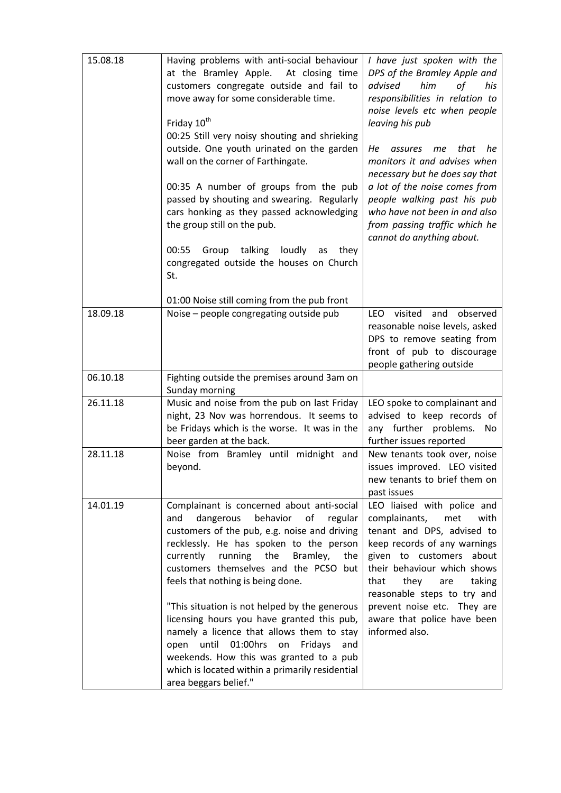| 15.08.18 | Having problems with anti-social behaviour<br>at the Bramley Apple.<br>At closing time<br>customers congregate outside and fail to<br>move away for some considerable time.<br>Friday 10 <sup>th</sup><br>00:25 Still very noisy shouting and shrieking<br>outside. One youth urinated on the garden<br>wall on the corner of Farthingate.<br>00:35 A number of groups from the pub<br>passed by shouting and swearing. Regularly<br>cars honking as they passed acknowledging<br>the group still on the pub.<br>talking<br>loudly<br>00:55<br>Group<br>they<br>as<br>congregated outside the houses on Church<br>St.                          | I have just spoken with the<br>DPS of the Bramley Apple and<br>him<br>advised<br>оf<br>his<br>responsibilities in relation to<br>noise levels etc when people<br>leaving his pub<br>that<br>Нe<br>he<br>assures<br>me<br>monitors it and advises when<br>necessary but he does say that<br>a lot of the noise comes from<br>people walking past his pub<br>who have not been in and also<br>from passing traffic which he<br>cannot do anything about. |
|----------|------------------------------------------------------------------------------------------------------------------------------------------------------------------------------------------------------------------------------------------------------------------------------------------------------------------------------------------------------------------------------------------------------------------------------------------------------------------------------------------------------------------------------------------------------------------------------------------------------------------------------------------------|--------------------------------------------------------------------------------------------------------------------------------------------------------------------------------------------------------------------------------------------------------------------------------------------------------------------------------------------------------------------------------------------------------------------------------------------------------|
|          | 01:00 Noise still coming from the pub front                                                                                                                                                                                                                                                                                                                                                                                                                                                                                                                                                                                                    |                                                                                                                                                                                                                                                                                                                                                                                                                                                        |
| 18.09.18 | Noise - people congregating outside pub                                                                                                                                                                                                                                                                                                                                                                                                                                                                                                                                                                                                        | <b>LEO</b><br>visited<br>and observed<br>reasonable noise levels, asked<br>DPS to remove seating from<br>front of pub to discourage<br>people gathering outside                                                                                                                                                                                                                                                                                        |
| 06.10.18 | Fighting outside the premises around 3am on<br>Sunday morning                                                                                                                                                                                                                                                                                                                                                                                                                                                                                                                                                                                  |                                                                                                                                                                                                                                                                                                                                                                                                                                                        |
| 26.11.18 | Music and noise from the pub on last Friday<br>night, 23 Nov was horrendous. It seems to<br>be Fridays which is the worse. It was in the<br>beer garden at the back.                                                                                                                                                                                                                                                                                                                                                                                                                                                                           | LEO spoke to complainant and<br>advised to keep records of<br>any further problems.<br>No<br>further issues reported                                                                                                                                                                                                                                                                                                                                   |
| 28.11.18 | Noise from Bramley until midnight and<br>beyond.                                                                                                                                                                                                                                                                                                                                                                                                                                                                                                                                                                                               | New tenants took over, noise<br>issues improved. LEO visited<br>new tenants to brief them on<br>past issues                                                                                                                                                                                                                                                                                                                                            |
| 14.01.19 | Complainant is concerned about anti-social<br>dangerous<br>behavior<br>of<br>and<br>regular<br>customers of the pub, e.g. noise and driving<br>recklessly. He has spoken to the person<br>currently<br>running<br>the<br>Bramley,<br>the<br>customers themselves and the PCSO but<br>feels that nothing is being done.<br>"This situation is not helped by the generous<br>licensing hours you have granted this pub,<br>namely a licence that allows them to stay<br>until<br>01:00hrs<br>Fridays<br>open<br>on<br>and<br>weekends. How this was granted to a pub<br>which is located within a primarily residential<br>area beggars belief." | LEO liaised with police and<br>complainants,<br>met<br>with<br>tenant and DPS, advised to<br>keep records of any warnings<br>given to customers<br>about<br>their behaviour which shows<br>that<br>they<br>taking<br>are<br>reasonable steps to try and<br>prevent noise etc. They are<br>aware that police have been<br>informed also.                                                                                                                |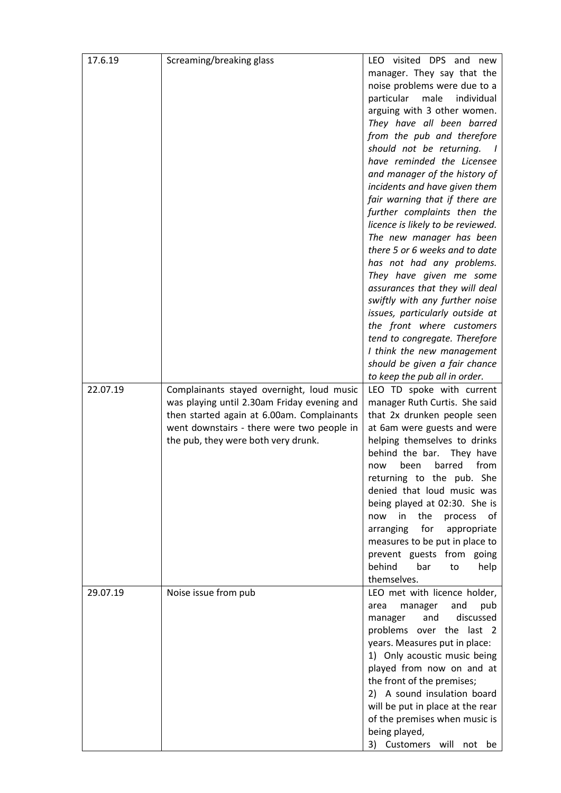| 17.6.19  | Screaming/breaking glass                    | LEO visited DPS and new           |
|----------|---------------------------------------------|-----------------------------------|
|          |                                             | manager. They say that the        |
|          |                                             | noise problems were due to a      |
|          |                                             | particular<br>male<br>individual  |
|          |                                             | arguing with 3 other women.       |
|          |                                             |                                   |
|          |                                             | They have all been barred         |
|          |                                             | from the pub and therefore        |
|          |                                             | should not be returning.          |
|          |                                             | have reminded the Licensee        |
|          |                                             | and manager of the history of     |
|          |                                             | incidents and have given them     |
|          |                                             | fair warning that if there are    |
|          |                                             | further complaints then the       |
|          |                                             | licence is likely to be reviewed. |
|          |                                             | The new manager has been          |
|          |                                             | there 5 or 6 weeks and to date    |
|          |                                             | has not had any problems.         |
|          |                                             | They have given me some           |
|          |                                             | assurances that they will deal    |
|          |                                             | swiftly with any further noise    |
|          |                                             | issues, particularly outside at   |
|          |                                             | the front where customers         |
|          |                                             | tend to congregate. Therefore     |
|          |                                             |                                   |
|          |                                             | I think the new management        |
|          |                                             | should be given a fair chance     |
|          |                                             | to keep the pub all in order.     |
| 22.07.19 | Complainants stayed overnight, loud music   | LEO TD spoke with current         |
|          | was playing until 2.30am Friday evening and | manager Ruth Curtis. She said     |
|          | then started again at 6.00am. Complainants  | that 2x drunken people seen       |
|          | went downstairs - there were two people in  | at 6am were guests and were       |
|          | the pub, they were both very drunk.         | helping themselves to drinks      |
|          |                                             | behind the bar.<br>They have      |
|          |                                             | barred<br>from<br>been<br>now     |
|          |                                             | returning to the pub. She         |
|          |                                             | denied that loud music was        |
|          |                                             | being played at 02:30. She is     |
|          |                                             | the<br>now<br>in<br>process<br>of |
|          |                                             | for<br>arranging<br>appropriate   |
|          |                                             | measures to be put in place to    |
|          |                                             | prevent guests from going         |
|          |                                             | behind<br>bar<br>to<br>help       |
|          |                                             | themselves.                       |
| 29.07.19 | Noise issue from pub                        | LEO met with licence holder,      |
|          |                                             | and<br>area<br>manager<br>pub     |
|          |                                             | discussed<br>and<br>manager       |
|          |                                             | problems over the last 2          |
|          |                                             | years. Measures put in place:     |
|          |                                             | 1) Only acoustic music being      |
|          |                                             |                                   |
|          |                                             | played from now on and at         |
|          |                                             | the front of the premises;        |
|          |                                             | 2) A sound insulation board       |
|          |                                             | will be put in place at the rear  |
|          |                                             | of the premises when music is     |
|          |                                             | being played,                     |
|          |                                             | 3) Customers will not be          |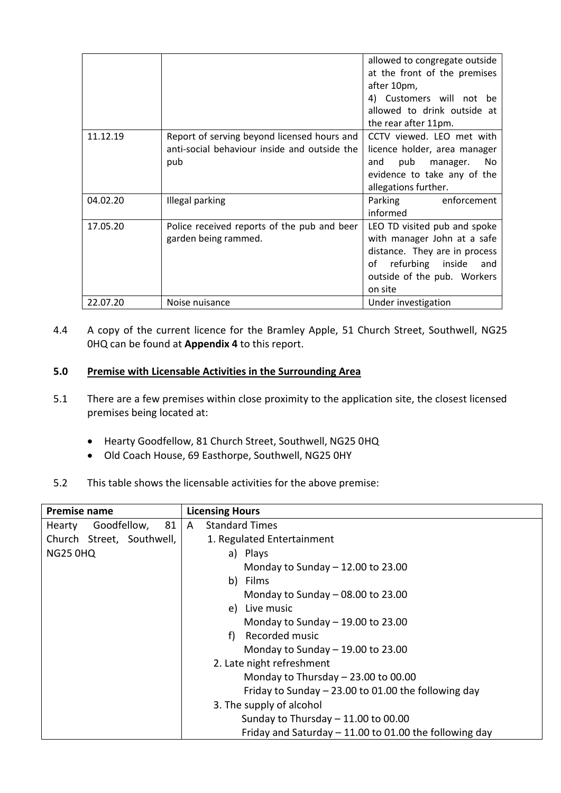|          |                                                                                                    | allowed to congregate outside<br>at the front of the premises<br>after 10pm,<br>4) Customers will not be<br>allowed to drink outside at<br>the rear after 11pm.         |
|----------|----------------------------------------------------------------------------------------------------|-------------------------------------------------------------------------------------------------------------------------------------------------------------------------|
| 11.12.19 | Report of serving beyond licensed hours and<br>anti-social behaviour inside and outside the<br>pub | CCTV viewed. LEO met with<br>licence holder, area manager<br>pub<br>No<br>and<br>manager.<br>evidence to take any of the<br>allegations further.                        |
| 04.02.20 | Illegal parking                                                                                    | Parking<br>enforcement<br>informed                                                                                                                                      |
| 17.05.20 | Police received reports of the pub and beer<br>garden being rammed.                                | LEO TD visited pub and spoke<br>with manager John at a safe<br>distance. They are in process<br>refurbing inside<br>οf<br>and<br>outside of the pub. Workers<br>on site |
| 22.07.20 | Noise nuisance                                                                                     | Under investigation                                                                                                                                                     |

4.4 A copy of the current licence for the Bramley Apple, 51 Church Street, Southwell, NG25 0HQ can be found at **Appendix 4** to this report.

## **5.0 Premise with Licensable Activities in the Surrounding Area**

- 5.1 There are a few premises within close proximity to the application site, the closest licensed premises being located at:
	- Hearty Goodfellow, 81 Church Street, Southwell, NG25 0HQ
	- Old Coach House, 69 Easthorpe, Southwell, NG25 0HY
- 5.2 This table shows the licensable activities for the above premise:

| <b>Premise name</b>           | <b>Licensing Hours</b>                                   |
|-------------------------------|----------------------------------------------------------|
| Goodfellow,<br>81  <br>Hearty | <b>Standard Times</b><br>A                               |
| Church Street, Southwell,     | 1. Regulated Entertainment                               |
| <b>NG25 0HQ</b>               | a) Plays                                                 |
|                               | Monday to Sunday $-12.00$ to 23.00                       |
|                               | b) Films                                                 |
|                               | Monday to Sunday $-$ 08.00 to 23.00                      |
|                               | e) Live music                                            |
|                               | Monday to Sunday $-$ 19.00 to 23.00                      |
|                               | Recorded music<br>f)                                     |
|                               | Monday to Sunday $-$ 19.00 to 23.00                      |
|                               | 2. Late night refreshment                                |
|                               | Monday to Thursday $-23.00$ to 00.00                     |
|                               | Friday to Sunday $-23.00$ to 01.00 the following day     |
|                               | 3. The supply of alcohol                                 |
|                               | Sunday to Thursday $-$ 11.00 to 00.00                    |
|                               | Friday and Saturday $-$ 11.00 to 01.00 the following day |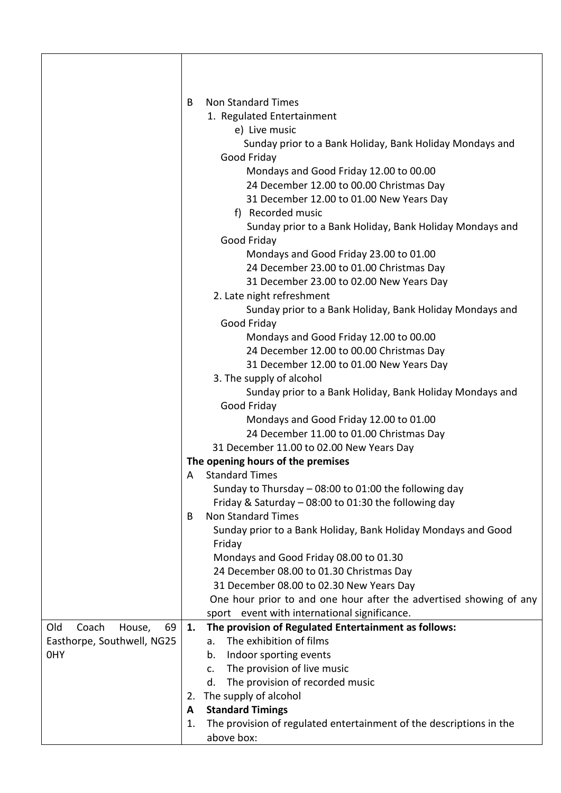|                              | B   | <b>Non Standard Times</b>                                                                                       |
|------------------------------|-----|-----------------------------------------------------------------------------------------------------------------|
|                              |     | 1. Regulated Entertainment                                                                                      |
|                              |     | e) Live music                                                                                                   |
|                              |     | Sunday prior to a Bank Holiday, Bank Holiday Mondays and                                                        |
|                              |     | Good Friday                                                                                                     |
|                              |     | Mondays and Good Friday 12.00 to 00.00                                                                          |
|                              |     | 24 December 12.00 to 00.00 Christmas Day                                                                        |
|                              |     | 31 December 12.00 to 01.00 New Years Day                                                                        |
|                              |     | f) Recorded music                                                                                               |
|                              |     | Sunday prior to a Bank Holiday, Bank Holiday Mondays and                                                        |
|                              |     | Good Friday                                                                                                     |
|                              |     | Mondays and Good Friday 23.00 to 01.00                                                                          |
|                              |     | 24 December 23.00 to 01.00 Christmas Day                                                                        |
|                              |     | 31 December 23.00 to 02.00 New Years Day                                                                        |
|                              |     | 2. Late night refreshment                                                                                       |
|                              |     | Sunday prior to a Bank Holiday, Bank Holiday Mondays and                                                        |
|                              |     | Good Friday                                                                                                     |
|                              |     | Mondays and Good Friday 12.00 to 00.00                                                                          |
|                              |     | 24 December 12.00 to 00.00 Christmas Day                                                                        |
|                              |     | 31 December 12.00 to 01.00 New Years Day                                                                        |
|                              |     | 3. The supply of alcohol                                                                                        |
|                              |     | Sunday prior to a Bank Holiday, Bank Holiday Mondays and                                                        |
|                              |     | Good Friday                                                                                                     |
|                              |     | Mondays and Good Friday 12.00 to 01.00                                                                          |
|                              |     | 24 December 11.00 to 01.00 Christmas Day                                                                        |
|                              |     | 31 December 11.00 to 02.00 New Years Day                                                                        |
|                              |     | The opening hours of the premises                                                                               |
|                              | A – | <b>Standard Times</b>                                                                                           |
|                              |     | Sunday to Thursday $-$ 08:00 to 01:00 the following day<br>Friday & Saturday - 08:00 to 01:30 the following day |
|                              | B   | <b>Non Standard Times</b>                                                                                       |
|                              |     | Sunday prior to a Bank Holiday, Bank Holiday Mondays and Good                                                   |
|                              |     | Friday                                                                                                          |
|                              |     | Mondays and Good Friday 08.00 to 01.30                                                                          |
|                              |     | 24 December 08.00 to 01.30 Christmas Day                                                                        |
|                              |     | 31 December 08.00 to 02.30 New Years Day                                                                        |
|                              |     | One hour prior to and one hour after the advertised showing of any                                              |
|                              |     | sport event with international significance.                                                                    |
| Old<br>Coach<br>House,<br>69 | 1.  | The provision of Regulated Entertainment as follows:                                                            |
| Easthorpe, Southwell, NG25   |     | The exhibition of films<br>a.                                                                                   |
| 0HY                          |     | Indoor sporting events<br>b.                                                                                    |
|                              |     | The provision of live music<br>c.                                                                               |
|                              |     | The provision of recorded music<br>d.                                                                           |
|                              | 2.  | The supply of alcohol                                                                                           |
|                              | A   | <b>Standard Timings</b>                                                                                         |
|                              | 1.  | The provision of regulated entertainment of the descriptions in the                                             |
|                              |     | above box:                                                                                                      |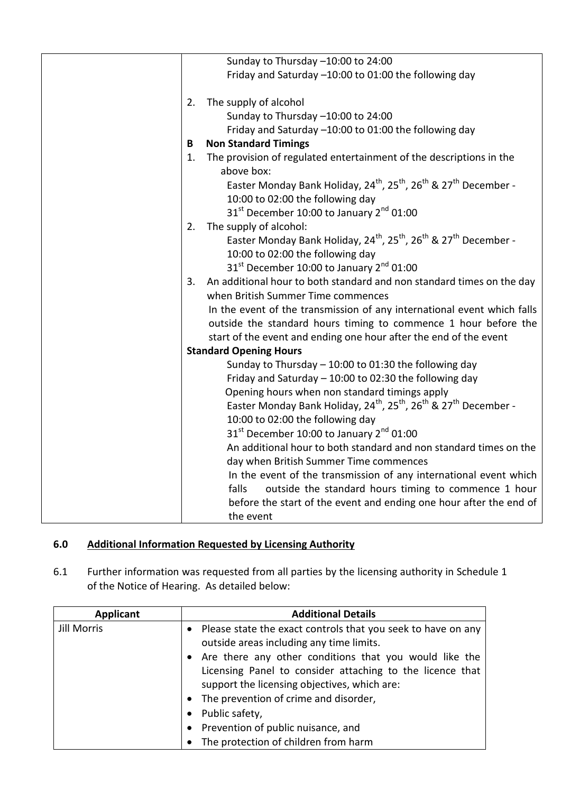|    | Sunday to Thursday -10:00 to 24:00                                                                               |
|----|------------------------------------------------------------------------------------------------------------------|
|    | Friday and Saturday -10:00 to 01:00 the following day                                                            |
|    |                                                                                                                  |
| 2. | The supply of alcohol                                                                                            |
|    | Sunday to Thursday -10:00 to 24:00                                                                               |
|    | Friday and Saturday -10:00 to 01:00 the following day                                                            |
| В  | <b>Non Standard Timings</b>                                                                                      |
| 1. | The provision of regulated entertainment of the descriptions in the<br>above box:                                |
|    | Easter Monday Bank Holiday, 24 <sup>th</sup> , 25 <sup>th</sup> , 26 <sup>th</sup> & 27 <sup>th</sup> December - |
|    | 10:00 to 02:00 the following day                                                                                 |
|    | 31 <sup>st</sup> December 10:00 to January 2 <sup>nd</sup> 01:00                                                 |
| 2. | The supply of alcohol:                                                                                           |
|    | Easter Monday Bank Holiday, 24 <sup>th</sup> , 25 <sup>th</sup> , 26 <sup>th</sup> & 27 <sup>th</sup> December - |
|    | 10:00 to 02:00 the following day                                                                                 |
|    | 31 <sup>st</sup> December 10:00 to January 2 <sup>nd</sup> 01:00                                                 |
| 3. | An additional hour to both standard and non standard times on the day                                            |
|    | when British Summer Time commences                                                                               |
|    | In the event of the transmission of any international event which falls                                          |
|    | outside the standard hours timing to commence 1 hour before the                                                  |
|    | start of the event and ending one hour after the end of the event                                                |
|    | <b>Standard Opening Hours</b>                                                                                    |
|    | Sunday to Thursday $-$ 10:00 to 01:30 the following day                                                          |
|    | Friday and Saturday $-10:00$ to 02:30 the following day                                                          |
|    | Opening hours when non standard timings apply                                                                    |
|    | Easter Monday Bank Holiday, 24 <sup>th</sup> , 25 <sup>th</sup> , 26 <sup>th</sup> & 27 <sup>th</sup> December - |
|    | 10:00 to 02:00 the following day                                                                                 |
|    | 31 <sup>st</sup> December 10:00 to January 2 <sup>nd</sup> 01:00                                                 |
|    | An additional hour to both standard and non standard times on the                                                |
|    | day when British Summer Time commences                                                                           |
|    | In the event of the transmission of any international event which                                                |
|    | falls<br>outside the standard hours timing to commence 1 hour                                                    |
|    | before the start of the event and ending one hour after the end of                                               |
|    | the event                                                                                                        |
|    |                                                                                                                  |

# **6.0 Additional Information Requested by Licensing Authority**

6.1 Further information was requested from all parties by the licensing authority in Schedule 1 of the Notice of Hearing. As detailed below:

| <b>Applicant</b> | <b>Additional Details</b>                                                                                             |
|------------------|-----------------------------------------------------------------------------------------------------------------------|
| Jill Morris      | Please state the exact controls that you seek to have on any<br>$\bullet$<br>outside areas including any time limits. |
|                  | • Are there any other conditions that you would like the                                                              |
|                  | Licensing Panel to consider attaching to the licence that                                                             |
|                  | support the licensing objectives, which are:                                                                          |
|                  | • The prevention of crime and disorder,                                                                               |
|                  | Public safety,<br>$\bullet$                                                                                           |
|                  | Prevention of public nuisance, and<br>$\bullet$                                                                       |
|                  | The protection of children from harm                                                                                  |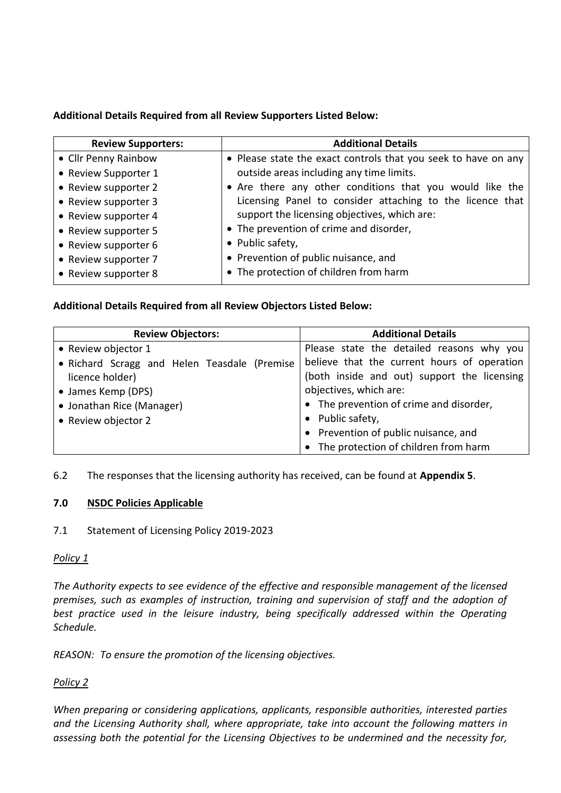## **Additional Details Required from all Review Supporters Listed Below:**

| <b>Review Supporters:</b> | <b>Additional Details</b>                                      |
|---------------------------|----------------------------------------------------------------|
| • Cllr Penny Rainbow      | • Please state the exact controls that you seek to have on any |
| • Review Supporter 1      | outside areas including any time limits.                       |
| • Review supporter 2      | • Are there any other conditions that you would like the       |
| • Review supporter 3      | Licensing Panel to consider attaching to the licence that      |
| • Review supporter 4      | support the licensing objectives, which are:                   |
| • Review supporter 5      | • The prevention of crime and disorder,                        |
| • Review supporter 6      | • Public safety,                                               |
| • Review supporter 7      | • Prevention of public nuisance, and                           |
| • Review supporter 8      | • The protection of children from harm                         |

## **Additional Details Required from all Review Objectors Listed Below:**

| <b>Review Objectors:</b>                     | <b>Additional Details</b>                   |
|----------------------------------------------|---------------------------------------------|
| • Review objector 1                          | Please state the detailed reasons why you   |
| • Richard Scragg and Helen Teasdale (Premise | believe that the current hours of operation |
| licence holder)                              | (both inside and out) support the licensing |
| • James Kemp (DPS)                           | objectives, which are:                      |
| • Jonathan Rice (Manager)                    | • The prevention of crime and disorder,     |
| • Review objector 2                          | • Public safety,                            |
|                                              | • Prevention of public nuisance, and        |
|                                              | • The protection of children from harm      |

6.2 The responses that the licensing authority has received, can be found at **Appendix 5**.

# **7.0 NSDC Policies Applicable**

7.1 Statement of Licensing Policy 2019-2023

## *Policy 1*

*The Authority expects to see evidence of the effective and responsible management of the licensed premises, such as examples of instruction, training and supervision of staff and the adoption of*  best practice used in the leisure industry, being specifically addressed within the Operating *Schedule.*

*REASON: To ensure the promotion of the licensing objectives.*

# *Policy 2*

*When preparing or considering applications, applicants, responsible authorities, interested parties and the Licensing Authority shall, where appropriate, take into account the following matters in assessing both the potential for the Licensing Objectives to be undermined and the necessity for,*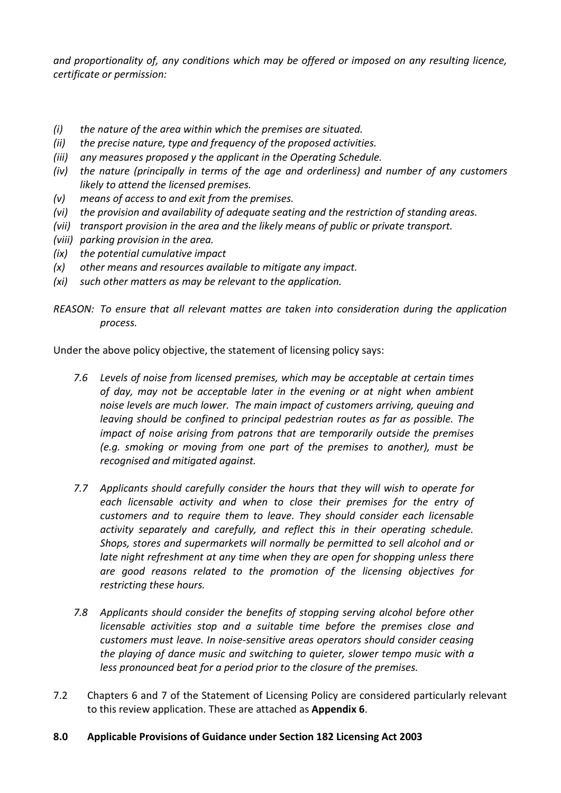*and proportionality of, any conditions which may be offered or imposed on any resulting licence, certificate or permission:*

- *(i) the nature of the area within which the premises are situated.*
- *(ii) the precise nature, type and frequency of the proposed activities.*
- *(iii) any measures proposed y the applicant in the Operating Schedule.*
- *(iv) the nature (principally in terms of the age and orderliness) and number of any customers likely to attend the licensed premises.*
- *(v) means of access to and exit from the premises.*
- *(vi) the provision and availability of adequate seating and the restriction of standing areas.*
- *(vii) transport provision in the area and the likely means of public or private transport.*
- *(viii) parking provision in the area.*
- *(ix) the potential cumulative impact*
- *(x) other means and resources available to mitigate any impact.*
- *(xi) such other matters as may be relevant to the application.*
- *REASON: To ensure that all relevant mattes are taken into consideration during the application process.*

Under the above policy objective, the statement of licensing policy says:

- *7.6 Levels of noise from licensed premises, which may be acceptable at certain times of day, may not be acceptable later in the evening or at night when ambient noise levels are much lower. The main impact of customers arriving, queuing and leaving should be confined to principal pedestrian routes as far as possible. The impact of noise arising from patrons that are temporarily outside the premises (e.g. smoking or moving from one part of the premises to another), must be recognised and mitigated against.*
- *7.7 Applicants should carefully consider the hours that they will wish to operate for each licensable activity and when to close their premises for the entry of customers and to require them to leave. They should consider each licensable activity separately and carefully, and reflect this in their operating schedule. Shops, stores and supermarkets will normally be permitted to sell alcohol and or late night refreshment at any time when they are open for shopping unless there are good reasons related to the promotion of the licensing objectives for restricting these hours.*
- *7.8 Applicants should consider the benefits of stopping serving alcohol before other licensable activities stop and a suitable time before the premises close and customers must leave. In noise-sensitive areas operators should consider ceasing the playing of dance music and switching to quieter, slower tempo music with a less pronounced beat for a period prior to the closure of the premises.*
- 7.2 Chapters 6 and 7 of the Statement of Licensing Policy are considered particularly relevant to this review application. These are attached as **Appendix 6**.
- **8.0 Applicable Provisions of Guidance under Section 182 Licensing Act 2003**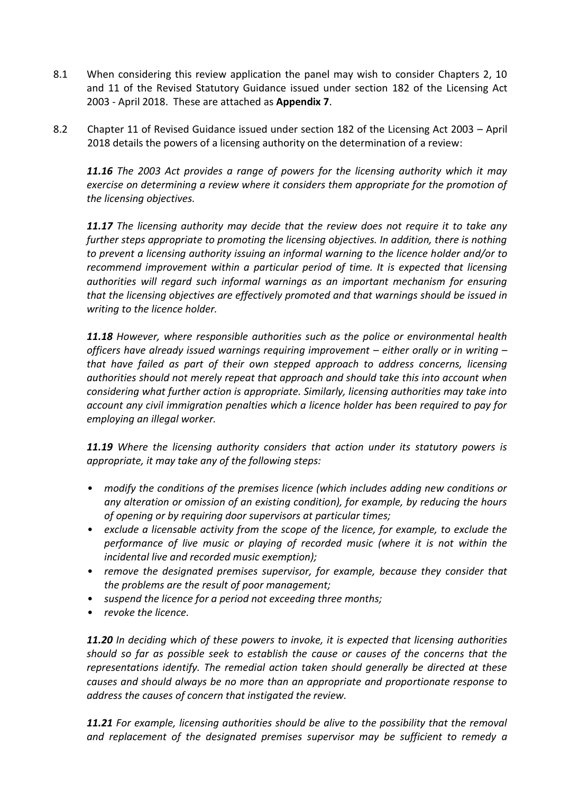- 8.1 When considering this review application the panel may wish to consider Chapters 2, 10 and 11 of the Revised Statutory Guidance issued under section 182 of the Licensing Act 2003 - April 2018. These are attached as **Appendix 7**.
- 8.2 Chapter 11 of Revised Guidance issued under section 182 of the Licensing Act 2003 April 2018 details the powers of a licensing authority on the determination of a review:

*11.16 The 2003 Act provides a range of powers for the licensing authority which it may exercise on determining a review where it considers them appropriate for the promotion of the licensing objectives.* 

*11.17 The licensing authority may decide that the review does not require it to take any further steps appropriate to promoting the licensing objectives. In addition, there is nothing to prevent a licensing authority issuing an informal warning to the licence holder and/or to recommend improvement within a particular period of time. It is expected that licensing authorities will regard such informal warnings as an important mechanism for ensuring that the licensing objectives are effectively promoted and that warnings should be issued in writing to the licence holder.* 

*11.18 However, where responsible authorities such as the police or environmental health officers have already issued warnings requiring improvement – either orally or in writing – that have failed as part of their own stepped approach to address concerns, licensing authorities should not merely repeat that approach and should take this into account when considering what further action is appropriate. Similarly, licensing authorities may take into account any civil immigration penalties which a licence holder has been required to pay for employing an illegal worker.* 

*11.19 Where the licensing authority considers that action under its statutory powers is appropriate, it may take any of the following steps:* 

- *modify the conditions of the premises licence (which includes adding new conditions or any alteration or omission of an existing condition), for example, by reducing the hours of opening or by requiring door supervisors at particular times;*
- *exclude a licensable activity from the scope of the licence, for example, to exclude the performance of live music or playing of recorded music (where it is not within the incidental live and recorded music exemption);*
- *remove the designated premises supervisor, for example, because they consider that the problems are the result of poor management;*
- *suspend the licence for a period not exceeding three months;*
- *revoke the licence.*

*11.20 In deciding which of these powers to invoke, it is expected that licensing authorities should so far as possible seek to establish the cause or causes of the concerns that the representations identify. The remedial action taken should generally be directed at these causes and should always be no more than an appropriate and proportionate response to address the causes of concern that instigated the review.* 

*11.21 For example, licensing authorities should be alive to the possibility that the removal and replacement of the designated premises supervisor may be sufficient to remedy a*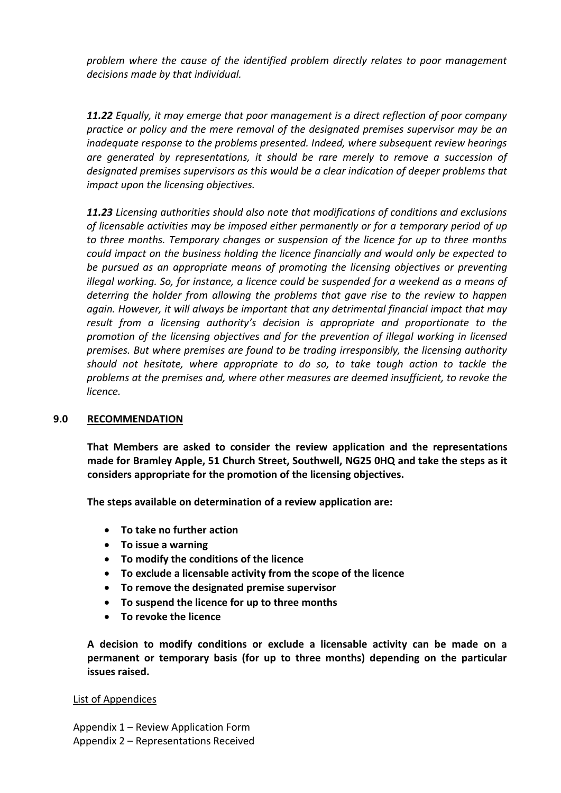*problem where the cause of the identified problem directly relates to poor management decisions made by that individual.* 

*11.22 Equally, it may emerge that poor management is a direct reflection of poor company practice or policy and the mere removal of the designated premises supervisor may be an inadequate response to the problems presented. Indeed, where subsequent review hearings are generated by representations, it should be rare merely to remove a succession of designated premises supervisors as this would be a clear indication of deeper problems that impact upon the licensing objectives.* 

*11.23 Licensing authorities should also note that modifications of conditions and exclusions of licensable activities may be imposed either permanently or for a temporary period of up to three months. Temporary changes or suspension of the licence for up to three months could impact on the business holding the licence financially and would only be expected to be pursued as an appropriate means of promoting the licensing objectives or preventing illegal working. So, for instance, a licence could be suspended for a weekend as a means of deterring the holder from allowing the problems that gave rise to the review to happen again. However, it will always be important that any detrimental financial impact that may result from a licensing authority's decision is appropriate and proportionate to the promotion of the licensing objectives and for the prevention of illegal working in licensed premises. But where premises are found to be trading irresponsibly, the licensing authority should not hesitate, where appropriate to do so, to take tough action to tackle the problems at the premises and, where other measures are deemed insufficient, to revoke the licence.* 

### **9.0 RECOMMENDATION**

**That Members are asked to consider the review application and the representations made for Bramley Apple, 51 Church Street, Southwell, NG25 0HQ and take the steps as it considers appropriate for the promotion of the licensing objectives.**

**The steps available on determination of a review application are:**

- **To take no further action**
- **To issue a warning**
- **To modify the conditions of the licence**
- **To exclude a licensable activity from the scope of the licence**
- **To remove the designated premise supervisor**
- **To suspend the licence for up to three months**
- **To revoke the licence**

**A decision to modify conditions or exclude a licensable activity can be made on a permanent or temporary basis (for up to three months) depending on the particular issues raised.**

### List of Appendices

Appendix 1 – Review Application Form Appendix 2 – Representations Received